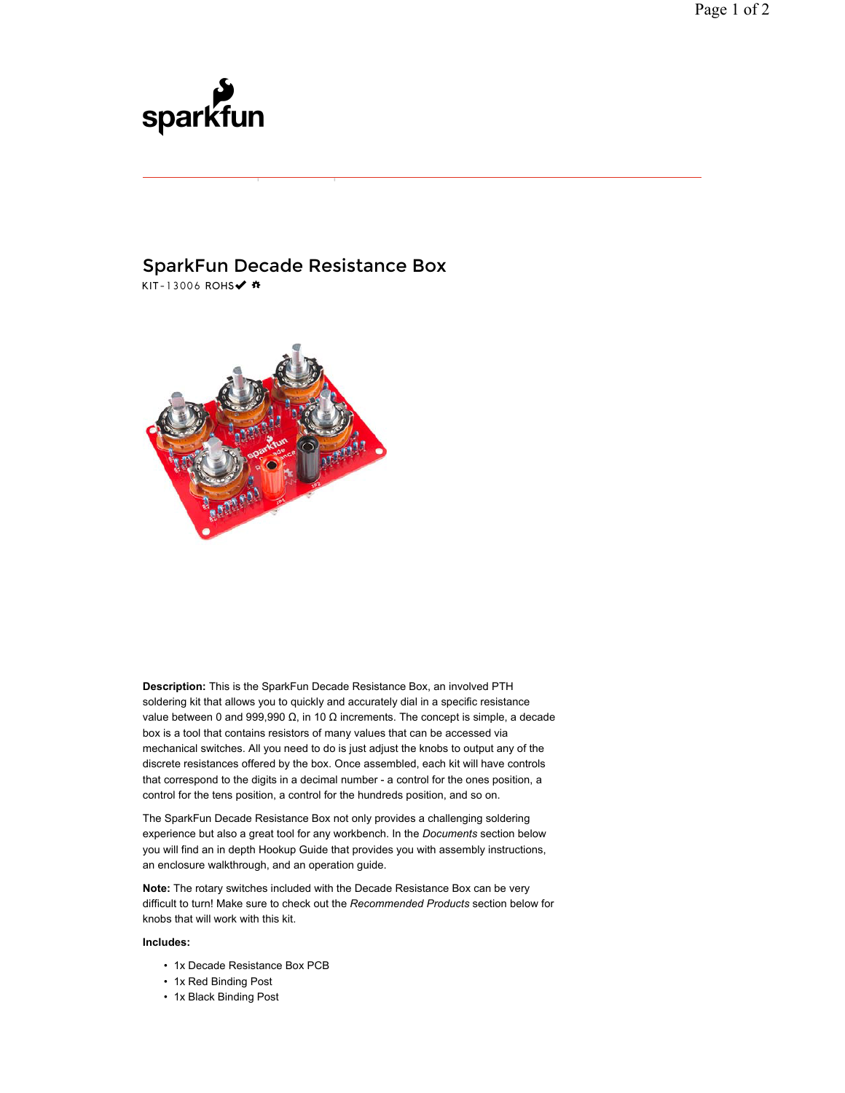## sparkfun

## SparkFun Decade Resistance Box KIT-13006 ROHS√ #



**Description:** This is the SparkFun Decade Resistance Box, an involved PTH soldering kit that allows you to quickly and accurately dial in a specific resistance value between 0 and 999,990  $Ω$ , in 10  $Ω$  increments. The concept is simple, a decade box is a tool that contains resistors of many values that can be accessed via mechanical switches. All you need to do is just adjust the knobs to output any of the discrete resistances offered by the box. Once assembled, each kit will have controls that correspond to the digits in a decimal number - a control for the ones position, a control for the tens position, a control for the hundreds position, and so on.

The SparkFun Decade Resistance Box not only provides a challenging soldering experience but also a great tool for any workbench. In the *Documents* section below you will find an in depth Hookup Guide that provides you with assembly instructions, an enclosure walkthrough, and an operation guide.

**Note:** The rotary switches included with the Decade Resistance Box can be very difficult to turn! Make sure to check out the *Recommended Products* section below for knobs that will work with this kit.

## **Includes:**

- 1x Decade Resistance Box PCB
- 1x Red Binding Post
- 1x Black Binding Post